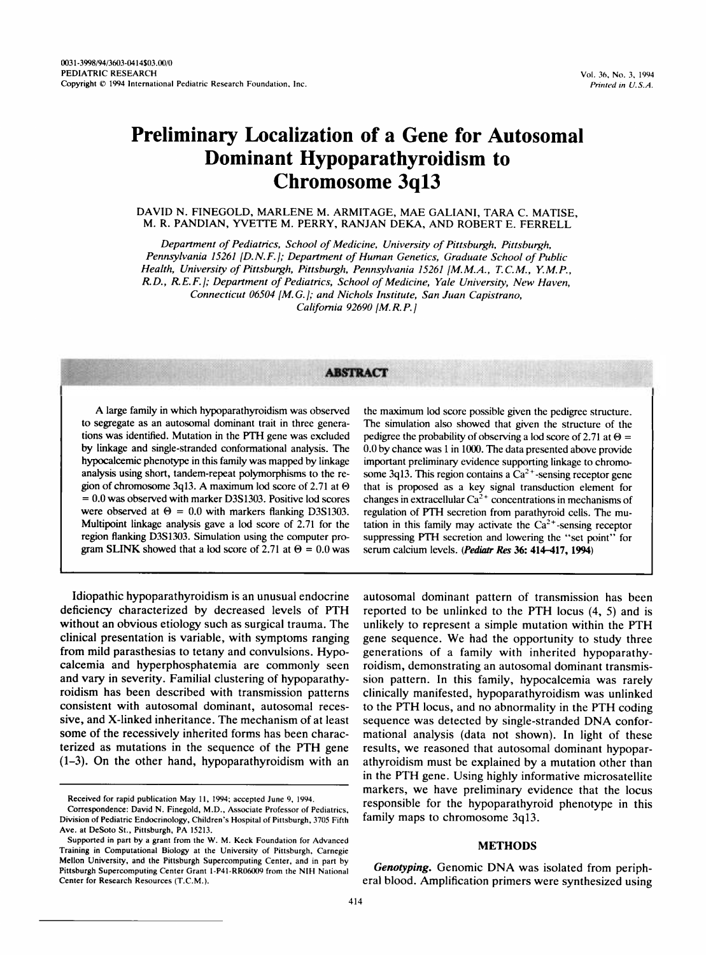# **Preliminary Localization of a Gene for Autosomal Dominant Hypoparathyroidism to Chromosome 3q13**

**DAVID N. FINEGOLD, MARLENE M. ARMITAGE, MAE GALIANI, TARA** C. **MATISE, M. R. PANDIAN, YVETTE M. PERRY, RANJAN DEKA, AND ROBERT E. FERRELL** 

*Department of Pediatrics, School of Medicine, University of Pittsburgh, Pittsburgh, Pennsylvania 15261 [D. N.F.]; Department of Human Genetics, Graduate School of Public Health, University of Pittsburgh, Pittsburgh, Pennsylvania 15261 [M. M.A., T.* **C.** *M., Y. M. P., R.D., R. E. F.]; Department of Pediatrics, School of Medicine, Yale University, New Haven, Connecticut 06504 [M.G.]; and Nichols Institute, San Juan Capistrano, California 92690 [M. R. P.* [

# **ABSTRACT**

**A** large family in which hypoparathyroidism was observed to segregate as an autosomal dominant trait in three generations was identified. Mutation in the PTH gene was excluded by linkage and single-stranded conformational analysis. The hypocalcemic phenotype in this family was mapped by linkage analysis using short, tandem-repeat polymorphisms to the region of chromosome **3q13. A** maximum lod score of **2.71** at **O**  = 0.0 was observed with marker **D3S1303.** Positive lod scores were observed at  $\Theta = 0.0$  with markers flanking D3S1303. Multipoint linkage analysis gave a lod score of **2.71** for the region flanking **D3S1303.** Simulation using the computer program **SLINK** showed that a lod score of 2.71 at  $\Theta = 0.0$  was

Idiopathic hypoparathyroidism is an unusual endocrine deficiency characterized by decreased levels of PTH without an obvious etiology such as surgical trauma. The clinical presentation is variable, with symptoms ranging from mild parasthesias to tetany and convulsions. Hypocalcemia and hyperphosphatemia are commonly seen and vary in severity. Familial clustering of hypoparathyroidism has been described with transmission patterns consistent with autosomal dominant, autosomal recessive, and X-linked inheritance. The mechanism of at least some of the recessively inherited forms has been characterized as mutations in the sequence of the PTH gene (1-3). On the other hand, hypoparathyroidism with an the maximum lod score possible given the pedigree structure. The simulation also showed that given the structure of the pedigree the probability of observing a lod score of 2.71 at  $\Theta$  = **0.0** by chance was 1 in **1000.** The data presented above provide important preliminary evidence supporting linkage to chromosome  $3q13$ . This region contains a  $Ca<sup>2+</sup>$ -sensing receptor gene that is proposed as a key signal transduction element for changes in extracellular  $Ca^{2+}$  concentrations in mechanisms of regulation of PTH secretion from parathyroid cells. The mutation in this family may activate the  $Ca<sup>2+</sup>$ -sensing receptor suppressing FTH secretion and lowering the "set point" for serum calcium levels. *(Pediafr* Res 36: 414-417, 1994)

autosomal dominant pattern of transmission has been reported to be unlinked to the PTH locus (4, 5) and is unlikely to represent a simple mutation within the PTH gene sequence. We had the opportunity to study three generations of a family with inherited hypoparathyroidism, demonstrating an autosomal dominant transmission pattern. In this family, hypocalcemia was rarely clinically manifested, hypoparathyroidism was unlinked to the PTH locus, and no abnormality in the PTH coding sequence was detected by single-stranded **DNA** conformational analysis (data not shown). In light of these results, we reasoned that autosomal dominant hypoparathyroidism must be explained by a mutation other than in the PTH gene. Using highly informative microsatellite markers, we have preliminary evidence that the locus responsible for the hypoparathyroid phenotype in this family maps to chromosome 3q13.

## **METHODS**

*Genotyping.* Genomic **DNA** was isolated from peripheral blood. Amplification primers were synthesized using

**Received for rapid publication May 11, 1994; accepted June 9, 1994.** 

**Correspondence: David N. Finegold, M.D., Associate Professor of Pediatrics, Division of Pediatric Endocrinology, Children's Hospital of Pittsburgh, 3705 Fifth Ave. at DeSoto St., Pittsburgh, PA 15213.** 

**Supported in part by a grant from the** W. **M. Keck Foundation for Advanced Training in Computational Biology at the University of Pittsburgh, Carnegie Mellon University, and the Pittsburgh Supercomputing Center. and in part by Pittsburgh Supercomputing Center Grant l-P41-RR06009 from the NIH National Center for Research Resources (T.C.M.).**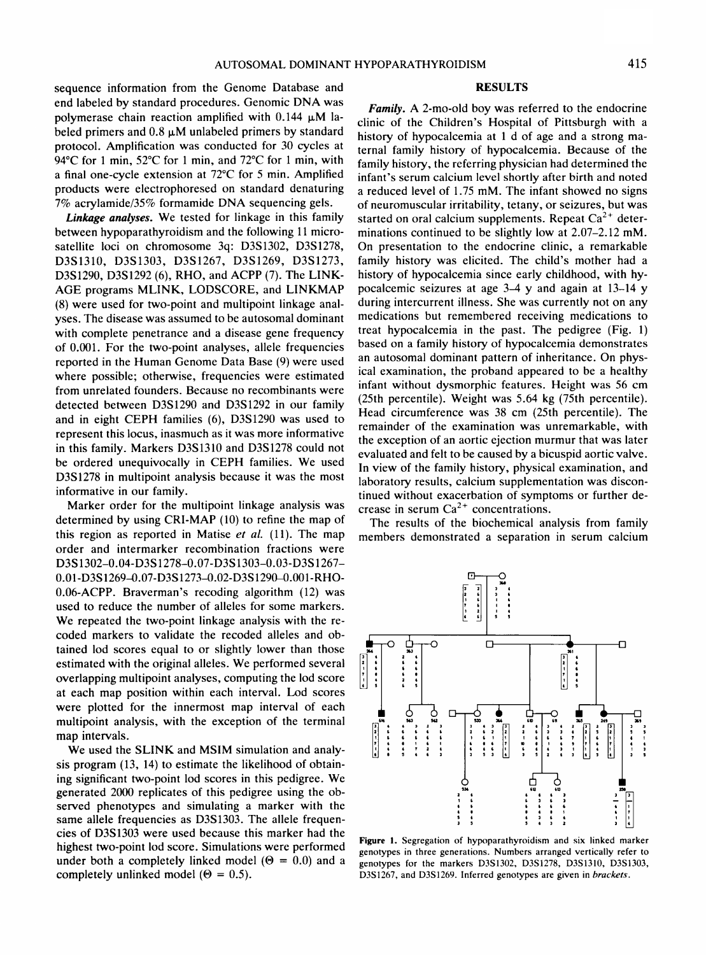sequence information from the Genome Database and end labeled by standard procedures. Genomic DNA was polymerase chain reaction amplified with  $0.144 \mu M$  labeled primers and  $0.8 \mu M$  unlabeled primers by standard protocol. Amplification was conducted for 30 cycles at 94°C for 1 min, 52°C for 1 min, and 72°C for 1 min, with a final one-cycle extension at 72°C for 5 min. Amplified products were electrophoresed on standard denaturing 7% acrylamide/35% formamide DNA sequencing gels.

*Linkage analyses.* We tested for linkage in this family between hypoparathyroidism and the following 11 microsatellite loci on chromosome 3q: D3S1302, D3S1278, D3S1310, D3S1303, D3S1267, D3S1269, D3S1273, D3S1290, D3S1292 (6), RHO, and ACPP (7). The LINK-AGE programs MLINK, LODSCORE, and LINKMAP (8) were used for two-point and multipoint linkage analyses. The disease was assumed to be autosomal dominant with complete penetrance and a disease gene frequency of 0.001. For the two-point analyses, allele frequencies reported in the Human Genome Data Base (9) were used where possible; otherwise, frequencies were estimated from unrelated founders. Because no recombinants were detected between D3S1290 and D3S1292 in our family and in eight CEPH families (6), D3S1290 was used to represent this locus, inasmuch as it was more informative in this family. Markers D3S1310 and D3S1278 could not be ordered unequivocally in CEPH families. We used D3S1278 in multipoint analysis because it was the most informative in our family.

Marker order for the multipoint linkage analysis was determined by using CRI-MAP (10) to refine the map of this region as reported in Matise et al.  $(11)$ . The map order and intermarker recombination fractions were D3S 1302-0.04-D3S **1278-0.07-D3S1303-0.03-D3S1267-**  0.01-D3S1269-0.07-D3S1273-0.02-D3S1290-0.001-RHO-0.06-ACPP. Braverman's recoding algorithm (12) was used to reduce the number of alleles for some markers. We repeated the two-point linkage analysis with the recoded markers to validate the recoded alleles and obtained lod scores equal to or slightly lower than those estimated with the original alleles. We performed several overlapping multipoint analyses, computing the lod score at each map position within each interval. Lod scores were plotted for the innermost map interval of each multipoint analysis, with the exception of the terminal map intervals.

We used the SLINK and MSIM simulation and analysis program (13, 14) to estimate the likelihood of obtaining significant two-point lod scores in this pedigree. We generated 2000 replicates of this pedigree using the observed phenotypes and simulating a marker with the same allele frequencies as D3S1303. The allele frequencies of D3S1303 were used because this marker had the highest two-point lod score. Simulations were performed under both a completely linked model ( $\Theta = 0.0$ ) and a completely unlinked model ( $\Theta = 0.5$ ).

#### **RESULTS**

*Family.* A 2-mo-old boy was referred to the endocrine clinic of the Children's Hospital of Pittsburgh with a history of hypocalcemia at 1 d of age and a strong maternal family history of hypocalcemia. Because of the family history, the referring physician had determined the infant's serum calcium level shortly after birth and noted a reduced level of 1.75 mM. The infant showed no signs of neuromuscular irritability, tetany, or seizures, but was started on oral calcium supplements. Repeat  $Ca^{2+}$  determinations continued to be slightly low at 2.07-2.12 mM. On presentation to the endocrine clinic, a remarkable family history was elicited. The child's mother had a history of hypocalcemia since early childhood, with hypocalcemic seizures at age 3-4 y and again at 13-14 y during intercurrent illness. She was currently not on any medications but remembered receiving medications to treat hypocalcemia in the past. The pedigree (Fig. 1) based on a family history of hypocalcemia demonstrates an autosomal dominant pattern of inheritance. On physical examination, the proband appeared to be a healthy infant without dysmorphic features. Height was 56 cm (25th percentile). Weight was 5.64 kg (75th percentile). Head circumference was 38 cm (25th percentile). The remainder of the examination was unremarkable, with the exception of an aortic ejection murmur that was later evaluated and felt to be caused by a bicuspid aortic valve. In view of the family history, physical examination, and laboratory results, calcium supplementation was discontinued without exacerbation of symptoms or further decrease in serum  $Ca^{2+}$  concentrations.

The results of the biochemical analysis from family members demonstrated a separation in serum calcium



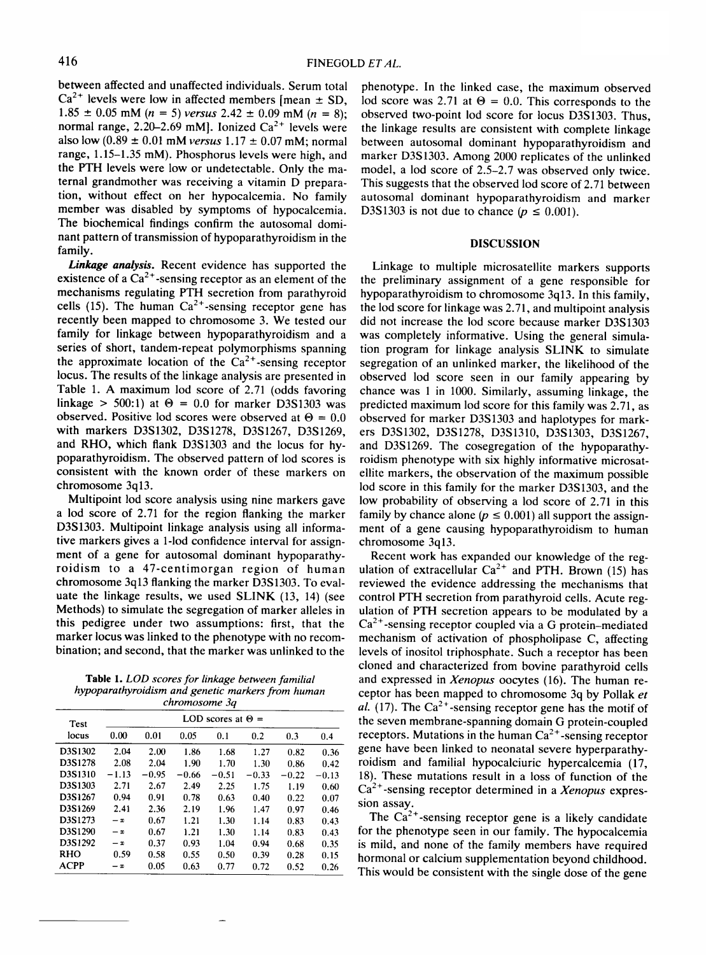between affected and unaffected individuals. Serum total  $Ca^{2+}$  levels were low in affected members [mean  $\pm$  SD,  $1.85 \pm 0.05$  mM (n = 5) versus 2.42  $\pm$  0.09 mM (n = 8); normal range,  $2.20-2.69$  mM]. Ionized  $Ca^{2+}$  levels were also low (0.89  $\pm$  0.01 mM versus 1.17  $\pm$  0.07 mM; normal range, 1.15-1.35 mM). Phosphorus levels were high, and the **PTH** levels were low or undetectable. Only the maternal grandmother was receiving a vitamin D preparation, without effect on her hypocalcemia. No family member was disabled by symptoms of hypocalcemia. The biochemical findings confirm the autosomal dominant pattern of transmission of hypoparathyroidism in the family.

**Linkage analysis.** Recent evidence has supported the existence of a  $Ca^{2+}$ -sensing receptor as an element of the mechanisms regulating PTH secretion from parathyroid cells (15). The human  $Ca^{2+}$ -sensing receptor gene has recently been mapped to chromosome 3. We tested our family for linkage between hypoparathyroidism and a series of short, tandem-repeat polymorphisms spanning the approximate location of the  $Ca<sup>2+</sup>$ -sensing receptor locus. The results of the linkage analysis are presented in Table 1. A maximum lod score of 2.71 (odds favoring linkage  $> 500:1$  at  $\Theta = 0.0$  for marker D3S1303 was observed. Positive lod scores were observed at  $\Theta = 0.0$ with markers D3S1302, D3S1278, D3S1267, D3S1269, and RHO, which flank D3S1303 and the locus for hypoparathyroidism. The observed pattern of lod scores is consistent with the known order of these markers on chromosome 3q13.

Multipoint lod score analysis using nine markers gave a lod score of 2.71 for the region flanking the marker D3S1303. Multipoint linkage analysis using all informative markers gives a l-lod confidence interval for assignment of a gene for autosomal dominant hypoparathyroidism to a 47-centimorgan region of human chromosome 3q13 flanking the marker D3S1303. To evaluate the linkage results, we used SLINK (13, 14) (see Methods) to simulate the segregation of marker alleles in this pedigree under two assumptions: first, that the marker locus was linked to the phenotype with no recombination; and second, that the marker was unlinked to the

*Table* **1.** *LOD scores for linkage between familial hypoparathyroidism and genetic markers from human chromosome 30* 

| Test<br>locus | LOD scores at $\Theta =$ |         |         |         |         |         |         |
|---------------|--------------------------|---------|---------|---------|---------|---------|---------|
|               | 0.00                     | 0.01    | 0.05    | 0.1     | 0.2     | 0.3     | 0.4     |
| D3S1302       | 2.04                     | 2.00    | 1.86    | 1.68    | 1.27    | 0.82    | 0.36    |
| D3S1278       | 2.08                     | 2.04    | 1.90    | 1.70    | 1.30    | 0.86    | 0.42    |
| D3S1310       | $-1.13$                  | $-0.95$ | $-0.66$ | $-0.51$ | $-0.33$ | $-0.22$ | $-0.13$ |
| D3S1303       | 2.71                     | 2.67    | 2.49    | 2.25    | 1.75    | 1.19    | 0.60    |
| D3S1267       | 0.94                     | 0.91    | 0.78    | 0.63    | 0.40    | 0.22    | 0.07    |
| D3S1269       | 2.41                     | 2.36    | 2.19    | 1.96    | 1.47    | 0.97    | 0.46    |
| D3S1273       | $-\infty$                | 0.67    | 1.21    | 1.30    | 1.14    | 0.83    | 0.43    |
| D3S1290       | $-\infty$                | 0.67    | 1.21    | 1.30    | 1.14    | 0.83    | 0.43    |
| D3S1292       | $-\infty$                | 0.37    | 0.93    | 1.04    | 0.94    | 0.68    | 0.35    |
| <b>RHO</b>    | 0.59                     | 0.58    | 0.55    | 0.50    | 0.39    | 0.28    | 0.15    |
| ACPP          | – യ                      | 0.05    | 0.63    | 0.77    | 0.72    | 0.52    | 0.26    |

phenotype. In the linked case, the maximum observed lod score was 2.71 at  $\Theta = 0.0$ . This corresponds to the observed two-point lod score for locus D3S1303. Thus, the linkage results are consistent with complete linkage between autosomal dominant hypoparathyroidism and marker D3S1303. Among 2000 replicates of the unlinked model, a lod score of 2.5-2.7 was observed only twice. This suggests that the observed lod score of 2.71 between autosomal dominant hypoparathyroidism and marker D3S1303 is not due to chance ( $p \le 0.001$ ).

## **DISCUSSION**

Linkage to multiple microsatellite markers supports the preliminary assignment of a gene responsible for hypoparathyroidism to chromosome 3q13. In this family, the lod score for linkage was 2.71, and multipoint analysis did not increase the lod score because marker D3S1303 was completely informative. Using the general simulation program for linkage analysis SLINK to simulate segregation of an unlinked marker, the likelihood of the observed lod score seen in our family appearing by chance was 1 in 1000. Similarly, assuming linkage, the predicted maximum lod score for this family was 2.71, as observed for marker D3S1303 and haplotypes for markers D3S1302, D3S1278, D3S1310, D3S1303, D3S1267, and D3S1269. The cosegregation of the hypoparathyroidism phenotype with six highly informative microsatellite markers, the observation of the maximum possible lod score in this family for the marker D3S1303, and the low probability of observing a lod score of 2.71 in this family by chance alone ( $p \le 0.001$ ) all support the assignment of a gene causing hypoparathyroidism to human chromosome 3q13.

Recent work has expanded our knowledge of the regulation of extracellular  $Ca^{2+}$  and PTH. Brown (15) has reviewed the evidence addressing the mechanisms that control PTH secretion from parathyroid cells. Acute regulation of PTH secretion appears to be modulated by a  $Ca<sup>2+</sup>$ -sensing receptor coupled via a G protein-mediated mechanism of activation of phospholipase C, affecting levels of inositol triphosphate. Such a receptor has been cloned and characterized from bovine parathyroid cells and expressed in Xenopus oocytes (16). The human receptor has been mapped to chromosome 3q by Pollak et al. (17). The  $Ca^{2+}$ -sensing receptor gene has the motif of the seven membrane-spanning domain G protein-coupled receptors. Mutations in the human  $Ca^{2+}$ -sensing receptor gene have been linked to neonatal severe hyperparathyroidism and familial hypocalciuric hypercalcemia (17, 18). These mutations result in a loss of function of the  $Ca<sup>2+</sup>$ -sensing receptor determined in a Xenopus expression assay.

The  $Ca^{2+}$ -sensing receptor gene is a likely candidate for the phenotype seen in our family. The hypocalcemia is mild, and none of the family members have required hormonal or calcium supplementation beyond childhood. This would be consistent with the single dose of the gene